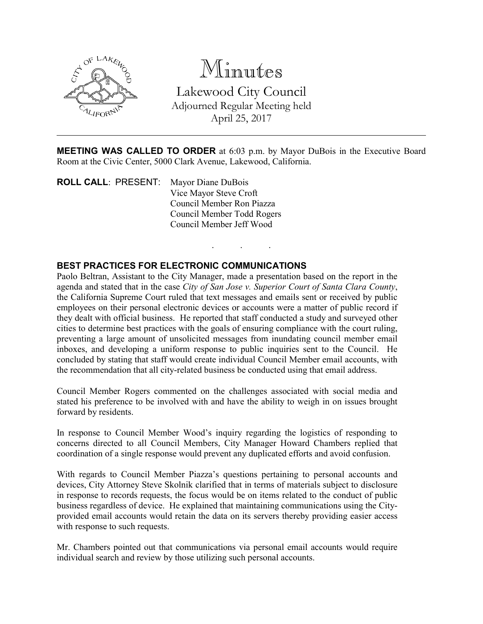

# Minutes

Lakewood City Council Adjourned Regular Meeting held April 25, 2017

MEETING WAS CALLED TO ORDER at 6:03 p.m. by Mayor DuBois in the Executive Board Room at the Civic Center, 5000 Clark Avenue, Lakewood, California.

. . .

ROLL CALL: PRESENT: Mayor Diane DuBois Vice Mayor Steve Croft Council Member Ron Piazza Council Member Todd Rogers Council Member Jeff Wood

# BEST PRACTICES FOR ELECTRONIC COMMUNICATIONS

Paolo Beltran, Assistant to the City Manager, made a presentation based on the report in the agenda and stated that in the case *City of San Jose v. Superior Court of Santa Clara County*, the California Supreme Court ruled that text messages and emails sent or received by public employees on their personal electronic devices or accounts were a matter of public record if they dealt with official business. He reported that staff conducted a study and surveyed other cities to determine best practices with the goals of ensuring compliance with the court ruling, preventing a large amount of unsolicited messages from inundating council member email inboxes, and developing a uniform response to public inquiries sent to the Council. He concluded by stating that staff would create individual Council Member email accounts, with the recommendation that all city-related business be conducted using that email address.

Council Member Rogers commented on the challenges associated with social media and stated his preference to be involved with and have the ability to weigh in on issues brought forward by residents.

In response to Council Member Wood's inquiry regarding the logistics of responding to concerns directed to all Council Members, City Manager Howard Chambers replied that coordination of a single response would prevent any duplicated efforts and avoid confusion.

With regards to Council Member Piazza's questions pertaining to personal accounts and devices, City Attorney Steve Skolnik clarified that in terms of materials subject to disclosure in response to records requests, the focus would be on items related to the conduct of public business regardless of device. He explained that maintaining communications using the Cityprovided email accounts would retain the data on its servers thereby providing easier access with response to such requests.

Mr. Chambers pointed out that communications via personal email accounts would require individual search and review by those utilizing such personal accounts.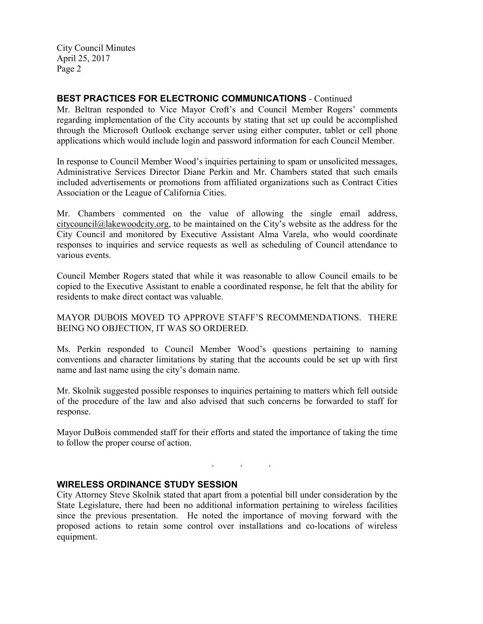## BEST PRACTICES FOR ELECTRONIC COMMUNICATIONS - Continued

Mr. Beltran responded to Vice Mayor Croft's and Council Member Rogers' comments regarding implementation of the City accounts by stating that set up could be accomplished through the Microsoft Outlook exchange server using either computer, tablet or cell phone applications which would include login and password information for each Council Member.

In response to Council Member Wood's inquiries pertaining to spam or unsolicited messages, Administrative Services Director Diane Perkin and Mr. Chambers stated that such emails included advertisements or promotions from affiliated organizations such as Contract Cities Association or the League of California Cities.

Mr. Chambers commented on the value of allowing the single email address, citycouncil@lakewoodcity.org, to be maintained on the City's website as the address for the City Council and monitored by Executive Assistant Alma Varela, who would coordinate responses to inquiries and service requests as well as scheduling of Council attendance to various events.

Council Member Rogers stated that while it was reasonable to allow Council emails to be copied to the Executive Assistant to enable a coordinated response, he felt that the ability for residents to make direct contact was valuable.

MAYOR DUBOIS MOVED TO APPROVE STAFF'S RECOMMENDATIONS. THERE BEING NO OBJECTION, IT WAS SO ORDERED.

Ms. Perkin responded to Council Member Wood's questions pertaining to naming conventions and character limitations by stating that the accounts could be set up with first name and last name using the city's domain name.

Mr. Skolnik suggested possible responses to inquiries pertaining to matters which fell outside of the procedure of the law and also advised that such concerns be forwarded to staff for response.

Mayor DuBois commended staff for their efforts and stated the importance of taking the time to follow the proper course of action.

. . .

### WIRELESS ORDINANCE STUDY SESSION

City Attorney Steve Skolnik stated that apart from a potential bill under consideration by the State Legislature, there had been no additional information pertaining to wireless facilities since the previous presentation. He noted the importance of moving forward with the proposed actions to retain some control over installations and co-locations of wireless equipment.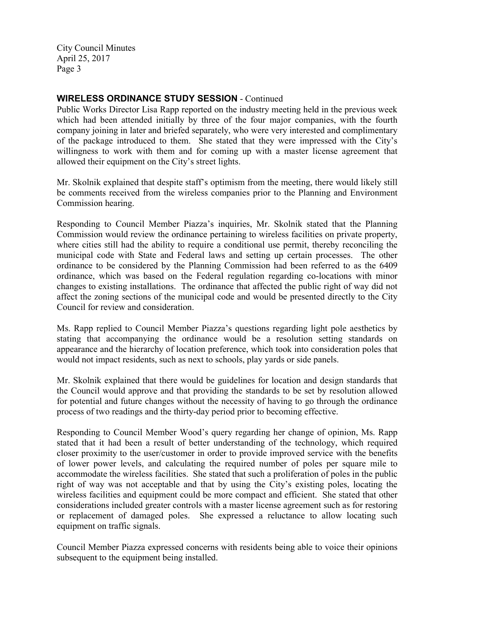#### WIRELESS ORDINANCE STUDY SESSION - Continued

Public Works Director Lisa Rapp reported on the industry meeting held in the previous week which had been attended initially by three of the four major companies, with the fourth company joining in later and briefed separately, who were very interested and complimentary of the package introduced to them. She stated that they were impressed with the City's willingness to work with them and for coming up with a master license agreement that allowed their equipment on the City's street lights.

Mr. Skolnik explained that despite staff's optimism from the meeting, there would likely still be comments received from the wireless companies prior to the Planning and Environment Commission hearing.

Responding to Council Member Piazza's inquiries, Mr. Skolnik stated that the Planning Commission would review the ordinance pertaining to wireless facilities on private property, where cities still had the ability to require a conditional use permit, thereby reconciling the municipal code with State and Federal laws and setting up certain processes. The other ordinance to be considered by the Planning Commission had been referred to as the 6409 ordinance, which was based on the Federal regulation regarding co-locations with minor changes to existing installations. The ordinance that affected the public right of way did not affect the zoning sections of the municipal code and would be presented directly to the City Council for review and consideration.

Ms. Rapp replied to Council Member Piazza's questions regarding light pole aesthetics by stating that accompanying the ordinance would be a resolution setting standards on appearance and the hierarchy of location preference, which took into consideration poles that would not impact residents, such as next to schools, play yards or side panels.

Mr. Skolnik explained that there would be guidelines for location and design standards that the Council would approve and that providing the standards to be set by resolution allowed for potential and future changes without the necessity of having to go through the ordinance process of two readings and the thirty-day period prior to becoming effective.

Responding to Council Member Wood's query regarding her change of opinion, Ms. Rapp stated that it had been a result of better understanding of the technology, which required closer proximity to the user/customer in order to provide improved service with the benefits of lower power levels, and calculating the required number of poles per square mile to accommodate the wireless facilities. She stated that such a proliferation of poles in the public right of way was not acceptable and that by using the City's existing poles, locating the wireless facilities and equipment could be more compact and efficient. She stated that other considerations included greater controls with a master license agreement such as for restoring or replacement of damaged poles. She expressed a reluctance to allow locating such equipment on traffic signals.

Council Member Piazza expressed concerns with residents being able to voice their opinions subsequent to the equipment being installed.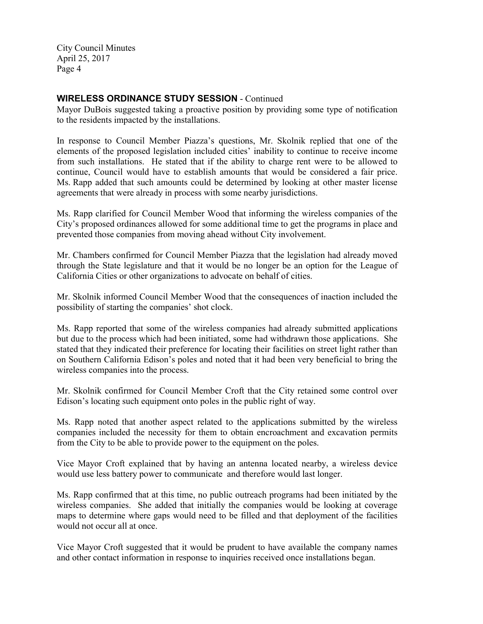#### WIRELESS ORDINANCE STUDY SESSION - Continued

Mayor DuBois suggested taking a proactive position by providing some type of notification to the residents impacted by the installations.

In response to Council Member Piazza's questions, Mr. Skolnik replied that one of the elements of the proposed legislation included cities' inability to continue to receive income from such installations. He stated that if the ability to charge rent were to be allowed to continue, Council would have to establish amounts that would be considered a fair price. Ms. Rapp added that such amounts could be determined by looking at other master license agreements that were already in process with some nearby jurisdictions.

Ms. Rapp clarified for Council Member Wood that informing the wireless companies of the City's proposed ordinances allowed for some additional time to get the programs in place and prevented those companies from moving ahead without City involvement.

Mr. Chambers confirmed for Council Member Piazza that the legislation had already moved through the State legislature and that it would be no longer be an option for the League of California Cities or other organizations to advocate on behalf of cities.

Mr. Skolnik informed Council Member Wood that the consequences of inaction included the possibility of starting the companies' shot clock.

Ms. Rapp reported that some of the wireless companies had already submitted applications but due to the process which had been initiated, some had withdrawn those applications. She stated that they indicated their preference for locating their facilities on street light rather than on Southern California Edison's poles and noted that it had been very beneficial to bring the wireless companies into the process.

Mr. Skolnik confirmed for Council Member Croft that the City retained some control over Edison's locating such equipment onto poles in the public right of way.

Ms. Rapp noted that another aspect related to the applications submitted by the wireless companies included the necessity for them to obtain encroachment and excavation permits from the City to be able to provide power to the equipment on the poles.

Vice Mayor Croft explained that by having an antenna located nearby, a wireless device would use less battery power to communicate and therefore would last longer.

Ms. Rapp confirmed that at this time, no public outreach programs had been initiated by the wireless companies. She added that initially the companies would be looking at coverage maps to determine where gaps would need to be filled and that deployment of the facilities would not occur all at once.

Vice Mayor Croft suggested that it would be prudent to have available the company names and other contact information in response to inquiries received once installations began.